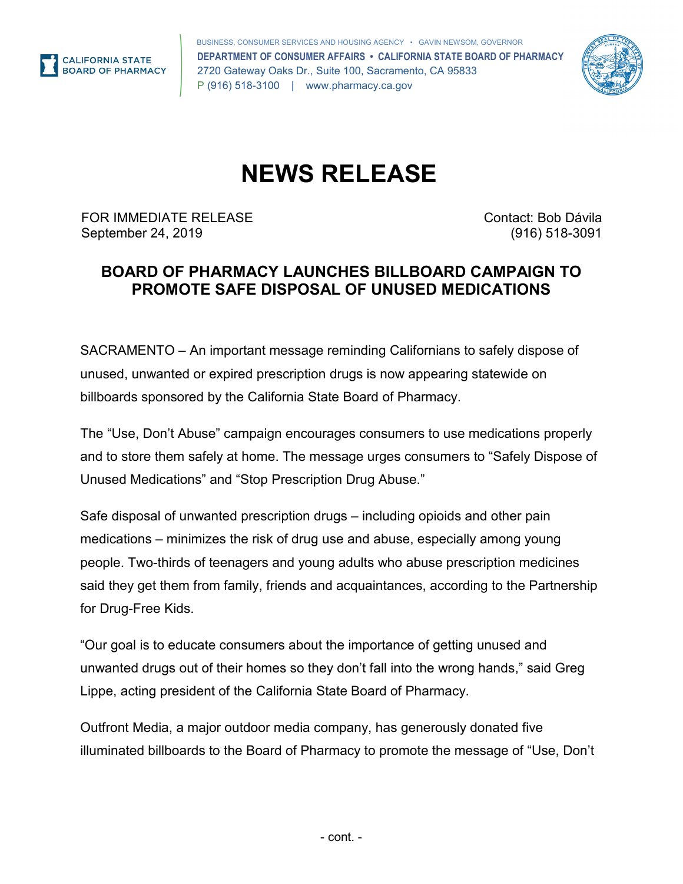

 BUSINESS, CONSUMER SERVICES AND HOUSING AGENCY • GAVIN NEWSOM, GOVERNOR 2720 Gateway Oaks Dr., Suite 100, Sacramento, CA 95833 P (916) 518-3100 | <www.pharmacy.ca.gov> **DEPARTMENT OF CONSUMER AFFAIRS • CALIFORNIA STATE BOARD OF PHARMACY** 



## **NEWS RELEASE**

FOR IMMEDIATE RELEASE Contact: Bob Dávila September 24, 2019 (916) 518-3091

## **BOARD OF PHARMACY LAUNCHES BILLBOARD CAMPAIGN TO PROMOTE SAFE DISPOSAL OF UNUSED MEDICATIONS**

 SACRAMENTO – An important message reminding Californians to safely dispose of unused, unwanted or expired prescription drugs is now appearing statewide on billboards sponsored by the California State Board of Pharmacy.

The "Use, Don't Abuse" campaign encourages consumers to use medications properly and to store them safely at home. The message urges consumers to "Safely Dispose of Unused Medications" and "Stop Prescription Drug Abuse."

 medications – minimizes the risk of drug use and abuse, especially among young said they get them from family, friends and acquaintances, according to the Partnership Safe disposal of unwanted prescription drugs – including opioids and other pain people. Two-thirds of teenagers and young adults who abuse prescription medicines for Drug-Free Kids.

"Our goal is to educate consumers about the importance of getting unused and unwanted drugs out of their homes so they don't fall into the wrong hands," said Greg Lippe, acting president of the California State Board of Pharmacy.

Outfront Media, a major outdoor media company, has generously donated five illuminated billboards to the Board of Pharmacy to promote the message of "Use, Don't